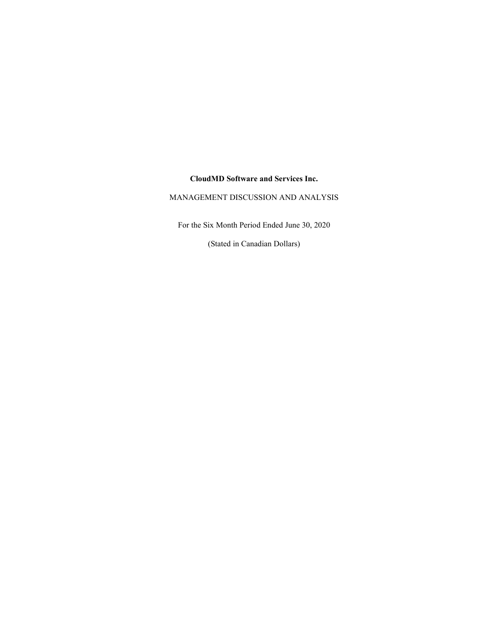# **CloudMD Software and Services Inc.**

# MANAGEMENT DISCUSSION AND ANALYSIS

For the Six Month Period Ended June 30, 2020

(Stated in Canadian Dollars)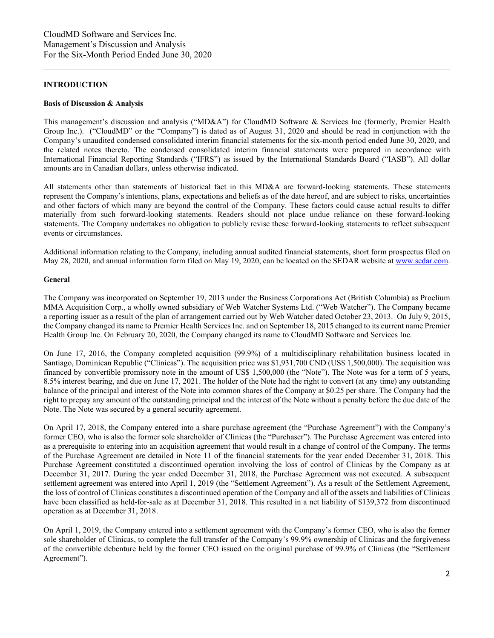## **INTRODUCTION**

#### **Basis of Discussion & Analysis**

This management's discussion and analysis ("MD&A") for CloudMD Software & Services Inc (formerly, Premier Health Group Inc.). ("CloudMD" or the "Company") is dated as of August 31, 2020 and should be read in conjunction with the Company's unaudited condensed consolidated interim financial statements for the six-month period ended June 30, 2020, and the related notes thereto. The condensed consolidated interim financial statements were prepared in accordance with International Financial Reporting Standards ("IFRS") as issued by the International Standards Board ("IASB"). All dollar amounts are in Canadian dollars, unless otherwise indicated.

All statements other than statements of historical fact in this MD&A are forward-looking statements. These statements represent the Company's intentions, plans, expectations and beliefs as of the date hereof, and are subject to risks, uncertainties and other factors of which many are beyond the control of the Company. These factors could cause actual results to differ materially from such forward-looking statements. Readers should not place undue reliance on these forward-looking statements. The Company undertakes no obligation to publicly revise these forward-looking statements to reflect subsequent events or circumstances.

Additional information relating to the Company, including annual audited financial statements, short form prospectus filed on May 28, 2020, and annual information form filed on May 19, 2020, can be located on the SEDAR website a[t www.sedar.com.](http://www.sedar.com/)

#### **General**

The Company was incorporated on September 19, 2013 under the Business Corporations Act (British Columbia) as Proelium MMA Acquisition Corp., a wholly owned subsidiary of Web Watcher Systems Ltd. ("Web Watcher"). The Company became a reporting issuer as a result of the plan of arrangement carried out by Web Watcher dated October 23, 2013. On July 9, 2015, the Company changed its name to Premier Health Services Inc. and on September 18, 2015 changed to its current name Premier Health Group Inc. On February 20, 2020, the Company changed its name to CloudMD Software and Services Inc.

On June 17, 2016, the Company completed acquisition (99.9%) of a multidisciplinary rehabilitation business located in Santiago, Dominican Republic ("Clinicas"). The acquisition price was \$1,931,700 CND (US\$ 1,500,000). The acquisition was financed by convertible promissory note in the amount of US\$ 1,500,000 (the "Note"). The Note was for a term of 5 years, 8.5% interest bearing, and due on June 17, 2021. The holder of the Note had the right to convert (at any time) any outstanding balance of the principal and interest of the Note into common shares of the Company at \$0.25 per share. The Company had the right to prepay any amount of the outstanding principal and the interest of the Note without a penalty before the due date of the Note. The Note was secured by a general security agreement.

On April 17, 2018, the Company entered into a share purchase agreement (the "Purchase Agreement") with the Company's former CEO, who is also the former sole shareholder of Clinicas (the "Purchaser"). The Purchase Agreement was entered into as a prerequisite to entering into an acquisition agreement that would result in a change of control of the Company. The terms of the Purchase Agreement are detailed in Note 11 of the financial statements for the year ended December 31, 2018. This Purchase Agreement constituted a discontinued operation involving the loss of control of Clinicas by the Company as at December 31, 2017. During the year ended December 31, 2018, the Purchase Agreement was not executed. A subsequent settlement agreement was entered into April 1, 2019 (the "Settlement Agreement"). As a result of the Settlement Agreement, the loss of control of Clinicas constitutes a discontinued operation of the Company and all of the assets and liabilities of Clinicas have been classified as held-for-sale as at December 31, 2018. This resulted in a net liability of \$139,372 from discontinued operation as at December 31, 2018.

On April 1, 2019, the Company entered into a settlement agreement with the Company's former CEO, who is also the former sole shareholder of Clinicas, to complete the full transfer of the Company's 99.9% ownership of Clinicas and the forgiveness of the convertible debenture held by the former CEO issued on the original purchase of 99.9% of Clinicas (the "Settlement Agreement").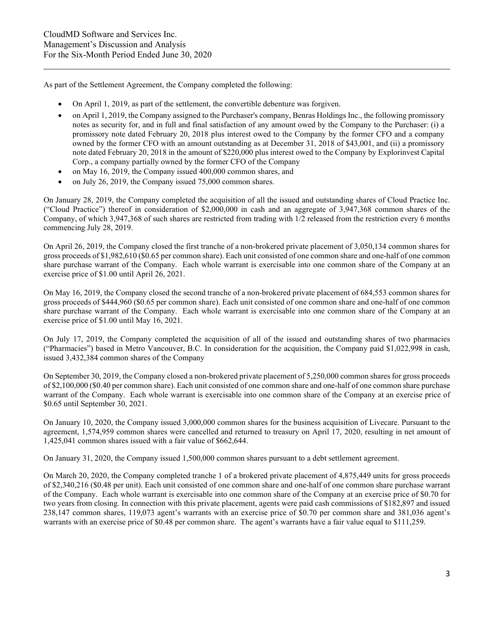As part of the Settlement Agreement, the Company completed the following:

- On April 1, 2019, as part of the settlement, the convertible debenture was forgiven.
- on April 1, 2019, the Company assigned to the Purchaser's company, Benras Holdings Inc., the following promissory notes as security for, and in full and final satisfaction of any amount owed by the Company to the Purchaser: (i) a promissory note dated February 20, 2018 plus interest owed to the Company by the former CFO and a company owned by the former CFO with an amount outstanding as at December 31, 2018 of \$43,001, and (ii) a promissory note dated February 20, 2018 in the amount of \$220,000 plus interest owed to the Company by Explorinvest Capital Corp., a company partially owned by the former CFO of the Company
- on May 16, 2019, the Company issued 400,000 common shares, and
- on July 26, 2019, the Company issued 75,000 common shares.

On January 28, 2019, the Company completed the acquisition of all the issued and outstanding shares of Cloud Practice Inc. ("Cloud Practice") thereof in consideration of \$2,000,000 in cash and an aggregate of 3,947,368 common shares of the Company, of which 3,947,368 of such shares are restricted from trading with 1/2 released from the restriction every 6 months commencing July 28, 2019.

On April 26, 2019, the Company closed the first tranche of a non-brokered private placement of 3,050,134 common shares for gross proceeds of \$1,982,610 (\$0.65 per common share). Each unit consisted of one common share and one-half of one common share purchase warrant of the Company. Each whole warrant is exercisable into one common share of the Company at an exercise price of \$1.00 until April 26, 2021.

On May 16, 2019, the Company closed the second tranche of a non-brokered private placement of 684,553 common shares for gross proceeds of \$444,960 (\$0.65 per common share). Each unit consisted of one common share and one-half of one common share purchase warrant of the Company. Each whole warrant is exercisable into one common share of the Company at an exercise price of \$1.00 until May 16, 2021.

On July 17, 2019, the Company completed the acquisition of all of the issued and outstanding shares of two pharmacies ("Pharmacies") based in Metro Vancouver, B.C. In consideration for the acquisition, the Company paid \$1,022,998 in cash, issued 3,432,384 common shares of the Company

On September 30, 2019, the Company closed a non-brokered private placement of 5,250,000 common shares for gross proceeds of \$2,100,000 (\$0.40 per common share). Each unit consisted of one common share and one-half of one common share purchase warrant of the Company. Each whole warrant is exercisable into one common share of the Company at an exercise price of \$0.65 until September 30, 2021.

On January 10, 2020, the Company issued 3,000,000 common shares for the business acquisition of Livecare. Pursuant to the agreement, 1,574,959 common shares were cancelled and returned to treasury on April 17, 2020, resulting in net amount of 1,425,041 common shares issued with a fair value of \$662,644.

On January 31, 2020, the Company issued 1,500,000 common shares pursuant to a debt settlement agreement.

On March 20, 2020, the Company completed tranche 1 of a brokered private placement of 4,875,449 units for gross proceeds of \$2,340,216 (\$0.48 per unit). Each unit consisted of one common share and one-half of one common share purchase warrant of the Company. Each whole warrant is exercisable into one common share of the Company at an exercise price of \$0.70 for two years from closing. In connection with this private placement, agents were paid cash commissions of \$182,897 and issued 238,147 common shares, 119,073 agent's warrants with an exercise price of \$0.70 per common share and 381,036 agent's warrants with an exercise price of \$0.48 per common share. The agent's warrants have a fair value equal to \$111,259.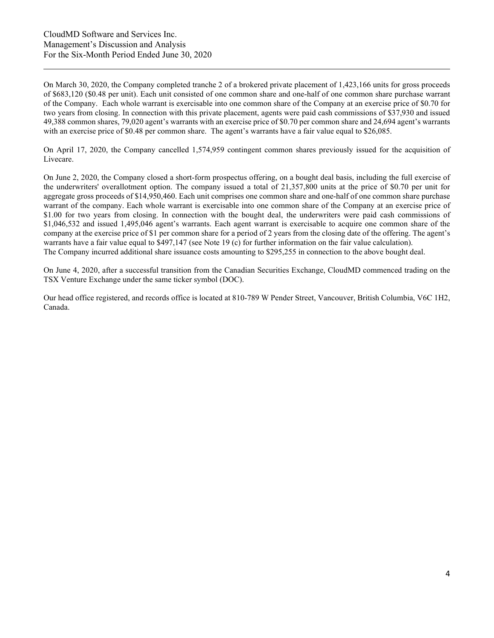On March 30, 2020, the Company completed tranche 2 of a brokered private placement of 1,423,166 units for gross proceeds of \$683,120 (\$0.48 per unit). Each unit consisted of one common share and one-half of one common share purchase warrant of the Company. Each whole warrant is exercisable into one common share of the Company at an exercise price of \$0.70 for two years from closing. In connection with this private placement, agents were paid cash commissions of \$37,930 and issued 49,388 common shares, 79,020 agent's warrants with an exercise price of \$0.70 per common share and 24,694 agent's warrants with an exercise price of \$0.48 per common share. The agent's warrants have a fair value equal to \$26,085.

On April 17, 2020, the Company cancelled 1,574,959 contingent common shares previously issued for the acquisition of Livecare.

On June 2, 2020, the Company closed a short-form prospectus offering, on a bought deal basis, including the full exercise of the underwriters' overallotment option. The company issued a total of 21,357,800 units at the price of \$0.70 per unit for aggregate gross proceeds of \$14,950,460. Each unit comprises one common share and one-half of one common share purchase warrant of the company. Each whole warrant is exercisable into one common share of the Company at an exercise price of \$1.00 for two years from closing. In connection with the bought deal, the underwriters were paid cash commissions of \$1,046,532 and issued 1,495,046 agent's warrants. Each agent warrant is exercisable to acquire one common share of the company at the exercise price of \$1 per common share for a period of 2 years from the closing date of the offering. The agent's warrants have a fair value equal to \$497,147 (see Note 19 (c) for further information on the fair value calculation). The Company incurred additional share issuance costs amounting to \$295,255 in connection to the above bought deal.

On June 4, 2020, after a successful transition from the Canadian Securities Exchange, CloudMD commenced trading on the TSX Venture Exchange under the same ticker symbol (DOC).

Our head office registered, and records office is located at 810-789 W Pender Street, Vancouver, British Columbia, V6C 1H2, Canada.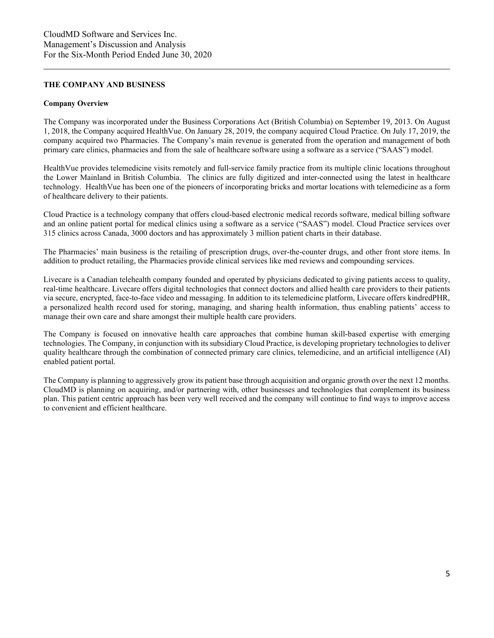## **THE COMPANY AND BUSINESS**

#### **Company Overview**

The Company was incorporated under the Business Corporations Act (British Columbia) on September 19, 2013. On August 1, 2018, the Company acquired HealthVue. On January 28, 2019, the company acquired Cloud Practice. On July 17, 2019, the company acquired two Pharmacies. The Company's main revenue is generated from the operation and management of both primary care clinics, pharmacies and from the sale of healthcare software using a software as a service ("SAAS") model.

HealthVue provides telemedicine visits remotely and full-service family practice from its multiple clinic locations throughout the Lower Mainland in British Columbia. The clinics are fully digitized and inter-connected using the latest in healthcare technology. HealthVue has been one of the pioneers of incorporating bricks and mortar locations with telemedicine as a form of healthcare delivery to their patients.

Cloud Practice is a technology company that offers cloud-based electronic medical records software, medical billing software and an online patient portal for medical clinics using a software as a service ("SAAS") model. Cloud Practice services over 315 clinics across Canada, 3000 doctors and has approximately 3 million patient charts in their database.

The Pharmacies' main business is the retailing of prescription drugs, over-the-counter drugs, and other front store items. In addition to product retailing, the Pharmacies provide clinical services like med reviews and compounding services.

Livecare is a Canadian telehealth company founded and operated by physicians dedicated to giving patients access to quality, real-time healthcare. Livecare offers digital technologies that connect doctors and allied health care providers to their patients via secure, encrypted, face-to-face video and messaging. In addition to its telemedicine platform, Livecare offers kindredPHR, a personalized health record used for storing, managing, and sharing health information, thus enabling patients' access to manage their own care and share amongst their multiple health care providers.

The Company is focused on innovative health care approaches that combine human skill-based expertise with emerging technologies. The Company, in conjunction with its subsidiary Cloud Practice, is developing proprietary technologies to deliver quality healthcare through the combination of connected primary care clinics, telemedicine, and an artificial intelligence (AI) enabled patient portal.

The Company is planning to aggressively grow its patient base through acquisition and organic growth over the next 12 months. CloudMD is planning on acquiring, and/or partnering with, other businesses and technologies that complement its business plan. This patient centric approach has been very well received and the company will continue to find ways to improve access to convenient and efficient healthcare.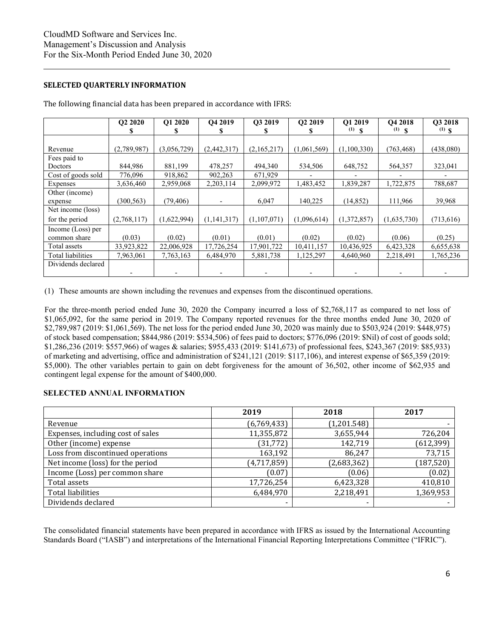## **SELECTED QUARTERLY INFORMATION**

|                    | Q2 2020<br>ъ | O1 2020     | Q4 2019     | Q3 2019     | Q2 2019     | O1 2019<br>$(1)$ \$ | O <sub>4</sub> 2018<br>$(1)$ \$ | O3 2018<br>$(1)$ \$ |
|--------------------|--------------|-------------|-------------|-------------|-------------|---------------------|---------------------------------|---------------------|
|                    |              |             |             |             |             |                     |                                 |                     |
| Revenue            | (2,789,987)  | (3,056,729) | (2,442,317) | (2,165,217) | (1,061,569) | (1,100,330)         | (763, 468)                      | (438,080)           |
| Fees paid to       |              |             |             |             |             |                     |                                 |                     |
| Doctors            | 844,986      | 881,199     | 478,257     | 494,340     | 534,506     | 648,752             | 564,357                         | 323,041             |
| Cost of goods sold | 776,096      | 918,862     | 902,263     | 671,929     |             |                     |                                 |                     |
| Expenses           | 3,636,460    | 2,959,068   | 2,203,114   | 2,099,972   | 1,483,452   | 1,839,287           | 1,722,875                       | 788,687             |
| Other (income)     |              |             |             |             |             |                     |                                 |                     |
| expense            | (300, 563)   | (79, 406)   |             | 6,047       | 140,225     | (14, 852)           | 111,966                         | 39,968              |
| Net income (loss)  |              |             |             |             |             |                     |                                 |                     |
| for the period     | (2,768,117)  | (1,622,994) | (1,141,317) | (1,107,071) | (1,096,614) | (1,372,857)         | (1,635,730)                     | (713, 616)          |
| Income (Loss) per  |              |             |             |             |             |                     |                                 |                     |
| common share       | (0.03)       | (0.02)      | (0.01)      | (0.01)      | (0.02)      | (0.02)              | (0.06)                          | (0.25)              |
| Total assets       | 33,923,822   | 22,006,928  | 17,726,254  | 17,901,722  | 10,411,157  | 10,436,925          | 6,423,328                       | 6,655,638           |
| Total liabilities  | 7,963,061    | 7,763,163   | 6,484,970   | 5,881,738   | 1,125,297   | 4,640,960           | 2,218,491                       | 1,765,236           |
| Dividends declared |              |             |             |             |             |                     |                                 |                     |
|                    |              |             |             |             |             |                     |                                 |                     |

The following financial data has been prepared in accordance with IFRS:

(1) These amounts are shown including the revenues and expenses from the discontinued operations.

For the three-month period ended June 30, 2020 the Company incurred a loss of \$2,768,117 as compared to net loss of \$1,065,092, for the same period in 2019. The Company reported revenues for the three months ended June 30, 2020 of \$2,789,987 (2019: \$1,061,569). The net loss for the period ended June 30, 2020 was mainly due to \$503,924 (2019: \$448,975) of stock based compensation; \$844,986 (2019: \$534,506) of fees paid to doctors; \$776,096 (2019: \$Nil) of cost of goods sold; \$1,286,236 (2019: \$557,966) of wages & salaries; \$955,433 (2019: \$141,673) of professional fees, \$243,367 (2019: \$85,933) of marketing and advertising, office and administration of \$241,121 (2019: \$117,106), and interest expense of \$65,359 (2019: \$5,000). The other variables pertain to gain on debt forgiveness for the amount of 36,502, other income of \$62,935 and contingent legal expense for the amount of \$400,000.

## **SELECTED ANNUAL INFORMATION**

|                                   | 2019        | 2018        | 2017       |
|-----------------------------------|-------------|-------------|------------|
| Revenue                           | (6,769,433) | (1,201.548) |            |
| Expenses, including cost of sales | 11,355,872  | 3,655,944   | 726,204    |
| Other (income) expense            | (31, 772)   | 142,719     | (612, 399) |
| Loss from discontinued operations | 163,192     | 86,247      | 73,715     |
| Net income (loss) for the period  | (4,717,859) | (2,683,362) | (187, 520) |
| Income (Loss) per common share    | (0.07)      | (0.06)      | (0.02)     |
| Total assets                      | 17,726,254  | 6,423,328   | 410,810    |
| <b>Total liabilities</b>          | 6,484,970   | 2,218,491   | 1,369,953  |
| Dividends declared                |             |             |            |

The consolidated financial statements have been prepared in accordance with IFRS as issued by the International Accounting Standards Board ("IASB") and interpretations of the International Financial Reporting Interpretations Committee ("IFRIC").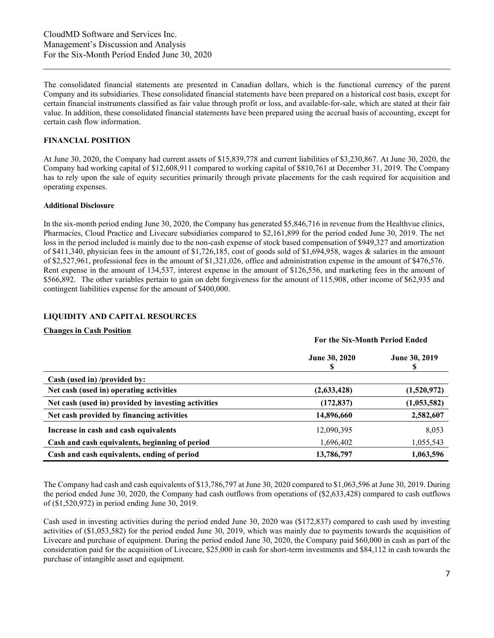The consolidated financial statements are presented in Canadian dollars, which is the functional currency of the parent Company and its subsidiaries. These consolidated financial statements have been prepared on a historical cost basis, except for certain financial instruments classified as fair value through profit or loss, and available-for-sale, which are stated at their fair value. In addition, these consolidated financial statements have been prepared using the accrual basis of accounting, except for certain cash flow information.

#### **FINANCIAL POSITION**

At June 30, 2020, the Company had current assets of \$15,839,778 and current liabilities of \$3,230,867. At June 30, 2020, the Company had working capital of \$12,608,911 compared to working capital of \$810,761 at December 31, 2019. The Company has to rely upon the sale of equity securities primarily through private placements for the cash required for acquisition and operating expenses.

#### **Additional Disclosure**

In the six-month period ending June 30, 2020, the Company has generated \$5,846,716 in revenue from the Healthvue clinics, Pharmacies, Cloud Practice and Livecare subsidiaries compared to \$2,161,899 for the period ended June 30, 2019. The net loss in the period included is mainly due to the non-cash expense of stock based compensation of \$949,327 and amortization of \$411,340, physician fees in the amount of \$1,726,185, cost of goods sold of \$1,694,958, wages & salaries in the amount of \$2,527,961, professional fees in the amount of \$1,321,026, office and administration expense in the amount of \$476,576. Rent expense in the amount of 134,537, interest expense in the amount of \$126,556, and marketing fees in the amount of \$566,892. The other variables pertain to gain on debt forgiveness for the amount of 115,908, other income of \$62,935 and contingent liabilities expense for the amount of \$400,000.

## **LIQUIDITY AND CAPITAL RESOURCES**

## **Changes in Cash Position**

|                                                     | For the Six-Month Period Ended |               |  |  |
|-----------------------------------------------------|--------------------------------|---------------|--|--|
|                                                     | <b>June 30, 2020</b>           | June 30, 2019 |  |  |
| Cash (used in) /provided by:                        |                                |               |  |  |
| Net cash (used in) operating activities             | (2,633,428)                    | (1,520,972)   |  |  |
| Net cash (used in) provided by investing activities | (172, 837)                     | (1,053,582)   |  |  |
| Net cash provided by financing activities           | 14,896,660                     | 2,582,607     |  |  |
| Increase in cash and cash equivalents               | 12,090,395                     | 8,053         |  |  |
| Cash and cash equivalents, beginning of period      | 1,696,402                      | 1,055,543     |  |  |
| Cash and cash equivalents, ending of period         | 13,786,797                     | 1,063,596     |  |  |

The Company had cash and cash equivalents of \$13,786,797 at June 30, 2020 compared to \$1,063,596 at June 30, 2019. During the period ended June 30, 2020, the Company had cash outflows from operations of (\$2,633,428) compared to cash outflows of (\$1,520,972) in period ending June 30, 2019.

Cash used in investing activities during the period ended June 30, 2020 was (\$172,837) compared to cash used by investing activities of (\$1,053,582) for the period ended June 30, 2019, which was mainly due to payments towards the acquisition of Livecare and purchase of equipment. During the period ended June 30, 2020, the Company paid \$60,000 in cash as part of the consideration paid for the acquisition of Livecare, \$25,000 in cash for short-term investments and \$84,112 in cash towards the purchase of intangible asset and equipment.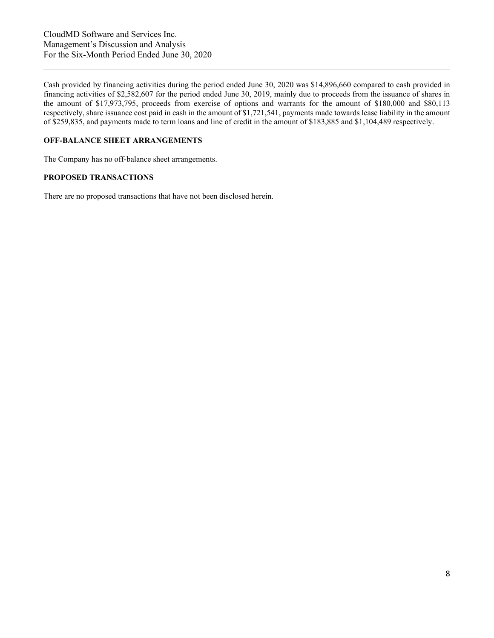Cash provided by financing activities during the period ended June 30, 2020 was \$14,896,660 compared to cash provided in financing activities of \$2,582,607 for the period ended June 30, 2019, mainly due to proceeds from the issuance of shares in the amount of \$17,973,795, proceeds from exercise of options and warrants for the amount of \$180,000 and \$80,113 respectively, share issuance cost paid in cash in the amount of \$1,721,541, payments made towards lease liability in the amount of \$259,835, and payments made to term loans and line of credit in the amount of \$183,885 and \$1,104,489 respectively.

## **OFF-BALANCE SHEET ARRANGEMENTS**

The Company has no off-balance sheet arrangements.

## **PROPOSED TRANSACTIONS**

There are no proposed transactions that have not been disclosed herein.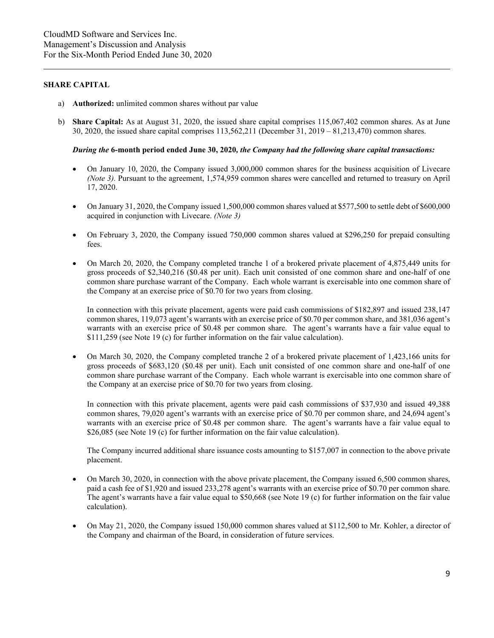### **SHARE CAPITAL**

- a) **Authorized:** unlimited common shares without par value
- b) **Share Capital:** As at August 31, 2020, the issued share capital comprises 115,067,402 common shares. As at June 30, 2020, the issued share capital comprises 113,562,211 (December 31, 2019 – 81,213,470) common shares.

#### *During the* **6-month period ended June 30, 2020***, the Company had the following share capital transactions:*

- On January 10, 2020, the Company issued 3,000,000 common shares for the business acquisition of Livecare *(Note 3).* Pursuant to the agreement, 1,574,959 common shares were cancelled and returned to treasury on April 17, 2020.
- On January 31, 2020, the Company issued 1,500,000 common shares valued at \$577,500 to settle debt of \$600,000 acquired in conjunction with Livecare. *(Note 3)*
- On February 3, 2020, the Company issued 750,000 common shares valued at \$296,250 for prepaid consulting fees.
- On March 20, 2020, the Company completed tranche 1 of a brokered private placement of 4,875,449 units for gross proceeds of \$2,340,216 (\$0.48 per unit). Each unit consisted of one common share and one-half of one common share purchase warrant of the Company. Each whole warrant is exercisable into one common share of the Company at an exercise price of \$0.70 for two years from closing.

In connection with this private placement, agents were paid cash commissions of \$182,897 and issued 238,147 common shares, 119,073 agent's warrants with an exercise price of \$0.70 per common share, and 381,036 agent's warrants with an exercise price of \$0.48 per common share. The agent's warrants have a fair value equal to \$111,259 (see Note 19 (c) for further information on the fair value calculation).

• On March 30, 2020, the Company completed tranche 2 of a brokered private placement of 1,423,166 units for gross proceeds of \$683,120 (\$0.48 per unit). Each unit consisted of one common share and one-half of one common share purchase warrant of the Company. Each whole warrant is exercisable into one common share of the Company at an exercise price of \$0.70 for two years from closing.

In connection with this private placement, agents were paid cash commissions of \$37,930 and issued 49,388 common shares, 79,020 agent's warrants with an exercise price of \$0.70 per common share, and 24,694 agent's warrants with an exercise price of \$0.48 per common share. The agent's warrants have a fair value equal to \$26,085 (see Note 19 (c) for further information on the fair value calculation).

The Company incurred additional share issuance costs amounting to \$157,007 in connection to the above private placement.

- On March 30, 2020, in connection with the above private placement, the Company issued 6,500 common shares, paid a cash fee of \$1,920 and issued 233,278 agent's warrants with an exercise price of \$0.70 per common share. The agent's warrants have a fair value equal to \$50,668 (see Note 19 (c) for further information on the fair value calculation).
- On May 21, 2020, the Company issued 150,000 common shares valued at \$112,500 to Mr. Kohler, a director of the Company and chairman of the Board, in consideration of future services.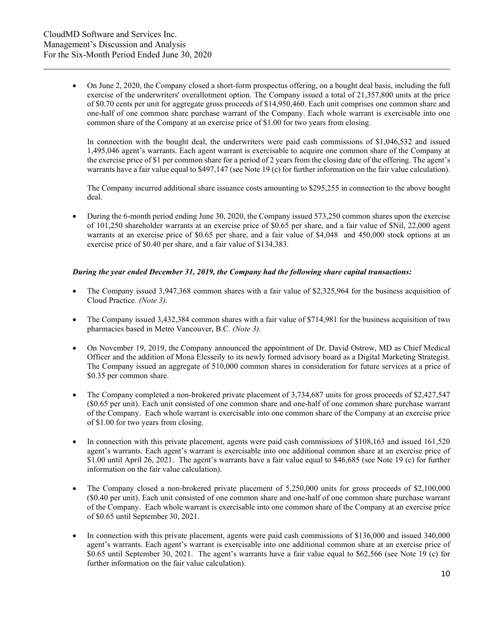• On June 2, 2020, the Company closed a short-form prospectus offering, on a bought deal basis, including the full exercise of the underwriters' overallotment option. The Company issued a total of 21,357,800 units at the price of \$0.70 cents per unit for aggregate gross proceeds of \$14,950,460. Each unit comprises one common share and one-half of one common share purchase warrant of the Company. Each whole warrant is exercisable into one common share of the Company at an exercise price of \$1.00 for two years from closing.

In connection with the bought deal, the underwriters were paid cash commissions of \$1,046,532 and issued 1,495,046 agent's warrants. Each agent warrant is exercisable to acquire one common share of the Company at the exercise price of \$1 per common share for a period of 2 years from the closing date of the offering. The agent's warrants have a fair value equal to \$497,147 (see Note 19 (c) for further information on the fair value calculation).

The Company incurred additional share issuance costs amounting to \$295,255 in connection to the above bought deal.

• During the 6-month period ending June 30, 2020, the Company issued 573,250 common shares upon the exercise of 101,250 shareholder warrants at an exercise price of \$0.65 per share, and a fair value of \$Nil, 22,000 agent warrants at an exercise price of \$0.65 per share, and a fair value of \$4,048 and 450,000 stock options at an exercise price of \$0.40 per share, and a fair value of \$134,383.

#### *During the year ended December 31, 2019, the Company had the following share capital transactions:*

- The Company issued 3,947,368 common shares with a fair value of \$2,325,964 for the business acquisition of Cloud Practice. *(Note 3).*
- The Company issued 3,432,384 common shares with a fair value of \$714,981 for the business acquisition of two pharmacies based in Metro Vancouver, B.C. *(Note 3).*
- On November 19, 2019, the Company announced the appointment of Dr. David Ostrow, MD as Chief Medical Officer and the addition of Mona Elesseily to its newly formed advisory board as a Digital Marketing Strategist. The Company issued an aggregate of 510,000 common shares in consideration for future services at a price of \$0.35 per common share.
- The Company completed a non-brokered private placement of 3,734,687 units for gross proceeds of \$2,427,547 (\$0.65 per unit). Each unit consisted of one common share and one-half of one common share purchase warrant of the Company. Each whole warrant is exercisable into one common share of the Company at an exercise price of \$1.00 for two years from closing.
- In connection with this private placement, agents were paid cash commissions of \$108,163 and issued 161,520 agent's warrants. Each agent's warrant is exercisable into one additional common share at an exercise price of \$1.00 until April 26, 2021. The agent's warrants have a fair value equal to \$46,685 (see Note 19 (c) for further information on the fair value calculation).
- The Company closed a non-brokered private placement of 5,250,000 units for gross proceeds of \$2,100,000 (\$0.40 per unit). Each unit consisted of one common share and one-half of one common share purchase warrant of the Company. Each whole warrant is exercisable into one common share of the Company at an exercise price of \$0.65 until September 30, 2021.
- In connection with this private placement, agents were paid cash commissions of \$136,000 and issued 340,000 agent's warrants. Each agent's warrant is exercisable into one additional common share at an exercise price of \$0.65 until September 30, 2021. The agent's warrants have a fair value equal to \$62,566 (see Note 19 (c) for further information on the fair value calculation).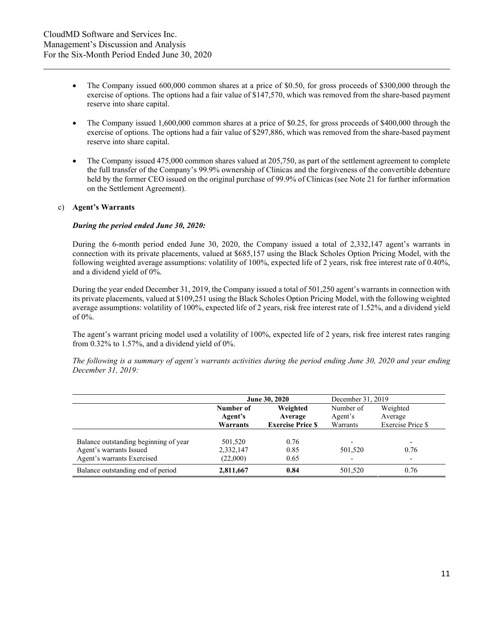- The Company issued 600,000 common shares at a price of \$0.50, for gross proceeds of \$300,000 through the exercise of options. The options had a fair value of \$147,570, which was removed from the share-based payment reserve into share capital.
- The Company issued 1,600,000 common shares at a price of \$0.25, for gross proceeds of \$400,000 through the exercise of options. The options had a fair value of \$297,886, which was removed from the share-based payment reserve into share capital.
- The Company issued 475,000 common shares valued at 205,750, as part of the settlement agreement to complete the full transfer of the Company's 99.9% ownership of Clinicas and the forgiveness of the convertible debenture held by the former CEO issued on the original purchase of 99.9% of Clinicas (see Note 21 for further information on the Settlement Agreement).

## c) **Agent's Warrants**

#### *During the period ended June 30, 2020:*

During the 6-month period ended June 30, 2020, the Company issued a total of 2,332,147 agent's warrants in connection with its private placements, valued at \$685,157 using the Black Scholes Option Pricing Model, with the following weighted average assumptions: volatility of 100%, expected life of 2 years, risk free interest rate of 0.40%, and a dividend yield of 0%.

During the year ended December 31, 2019, the Company issued a total of 501,250 agent's warrants in connection with its private placements, valued at \$109,251 using the Black Scholes Option Pricing Model, with the following weighted average assumptions: volatility of 100%, expected life of 2 years, risk free interest rate of 1.52%, and a dividend yield of 0%.

The agent's warrant pricing model used a volatility of 100%, expected life of 2 years, risk free interest rates ranging from 0.32% to 1.57%, and a dividend yield of 0%.

*The following is a summary of agent's warrants activities during the period ending June 30, 2020 and year ending December 31, 2019:* 

|                                                                                                | June 30, 2020                       |                      | December 31, 2019                   |                                                              |
|------------------------------------------------------------------------------------------------|-------------------------------------|----------------------|-------------------------------------|--------------------------------------------------------------|
|                                                                                                | Number of<br>Agent's                | Weighted<br>Average  | Number of<br>Agent's                | Weighted<br>Average                                          |
|                                                                                                | <b>Exercise Price S</b><br>Warrants |                      | Warrants                            | Exercise Price \$                                            |
| Balance outstanding beginning of year<br>Agent's warrants Issued<br>Agent's warrants Exercised | 501,520<br>2,332,147<br>(22,000)    | 0.76<br>0.85<br>0.65 | $\overline{\phantom{0}}$<br>501,520 | $\overline{\phantom{a}}$<br>0.76<br>$\overline{\phantom{a}}$ |
| Balance outstanding end of period                                                              | 2,811,667                           | 0.84                 | 501,520                             | 0.76                                                         |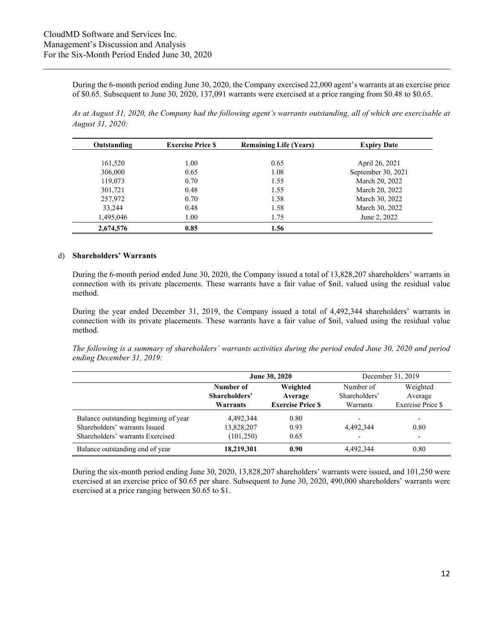During the 6-month period ending June 30, 2020, the Company exercised 22,000 agent's warrants at an exercise price of \$0.65. Subsequent to June 30, 2020, 137,091 warrants were exercised at a price ranging from \$0.48 to \$0.65.

*As at August 31, 2020, the Company had the following agent's warrants outstanding, all of which are exercisable at August 31, 2020:*

| Outstanding | <b>Exercise Price S</b> | <b>Remaining Life (Years)</b> | <b>Expiry Date</b> |
|-------------|-------------------------|-------------------------------|--------------------|
|             |                         |                               |                    |
| 161,520     | 1.00                    | 0.65                          | April 26, 2021     |
| 306,000     | 0.65                    | 1.08                          | September 30, 2021 |
| 119,073     | 0.70                    | 1.55                          | March 20, 2022     |
| 301,721     | 0.48                    | 1.55                          | March 20, 2022     |
| 257,972     | 0.70                    | 1.58                          | March 30, 2022     |
| 33,244      | 0.48                    | 1.58                          | March 30, 2022     |
| 1,495,046   | 1.00                    | 1.75                          | June 2, 2022       |
| 2,674,576   | 0.85                    | 1.56                          |                    |

#### d) **Shareholders' Warrants**

During the 6-month period ended June 30, 2020, the Company issued a total of 13,828,207 shareholders' warrants in connection with its private placements. These warrants have a fair value of \$nil, valued using the residual value method.

During the year ended December 31, 2019, the Company issued a total of 4,492,344 shareholders' warrants in connection with its private placements. These warrants have a fair value of \$nil, valued using the residual value method.

*The following is a summary of shareholders' warrants activities during the period ended June 30, 2020 and period ending December 31, 2019:* 

|                                       |                            | June 30, 2020           |                            | December 31, 2019        |
|---------------------------------------|----------------------------|-------------------------|----------------------------|--------------------------|
|                                       | Number of<br>Shareholders' | Weighted<br>Average     | Number of<br>Shareholders' | Weighted<br>Average      |
|                                       | Warrants                   | <b>Exercise Price S</b> | Warrants                   | <b>Exercise Price \$</b> |
| Balance outstanding beginning of year | 4.492.344                  | 0.80                    | $\overline{\phantom{0}}$   | $\overline{\phantom{a}}$ |
| Shareholders' warrants Issued         | 13,828,207                 | 0.93                    | 4,492,344                  | 0.80                     |
| Shareholders' warrants Exercised      | (101,250)                  | 0.65                    | $\overline{\phantom{0}}$   | $\overline{\phantom{a}}$ |
| Balance outstanding end of year       | 18,219,301                 | 0.90                    | 4,492,344                  | 0.80                     |

During the six-month period ending June 30, 2020, 13,828,207 shareholders' warrants were issued, and 101,250 were exercised at an exercise price of \$0.65 per share. Subsequent to June 30, 2020, 490,000 shareholders' warrants were exercised at a price ranging between \$0.65 to \$1.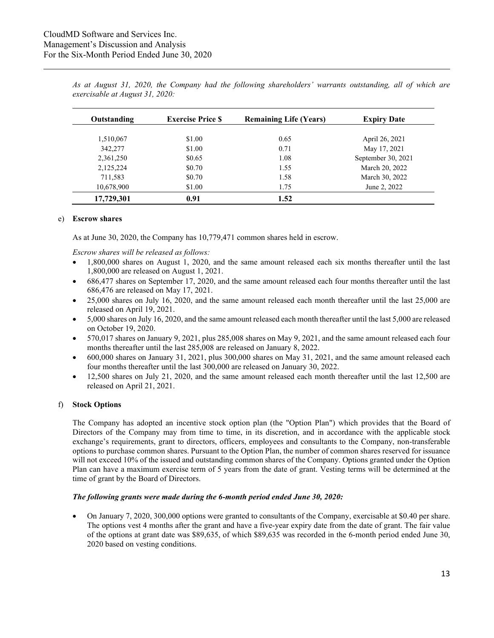| Outstanding | <b>Exercise Price S</b> | <b>Remaining Life (Years)</b> | <b>Expiry Date</b> |
|-------------|-------------------------|-------------------------------|--------------------|
|             |                         |                               |                    |
| 1,510,067   | \$1.00                  | 0.65                          | April 26, 2021     |
| 342,277     | \$1.00                  | 0.71                          | May 17, 2021       |
| 2,361,250   | \$0.65                  | 1.08                          | September 30, 2021 |
| 2,125,224   | \$0.70                  | 1.55                          | March 20, 2022     |
| 711,583     | \$0.70                  | 1.58                          | March 30, 2022     |
| 10,678,900  | \$1.00                  | 1.75                          | June 2, 2022       |
| 17,729,301  | 0.91                    | 1.52                          |                    |

*As at August 31, 2020, the Company had the following shareholders' warrants outstanding, all of which are exercisable at August 31, 2020:* 

#### e) **Escrow shares**

As at June 30, 2020, the Company has 10,779,471 common shares held in escrow.

*Escrow shares will be released as follows:*

- 1,800,000 shares on August 1, 2020, and the same amount released each six months thereafter until the last 1,800,000 are released on August 1, 2021.
- 686,477 shares on September 17, 2020, and the same amount released each four months thereafter until the last 686,476 are released on May 17, 2021.
- 25,000 shares on July 16, 2020, and the same amount released each month thereafter until the last 25,000 are released on April 19, 2021.
- 5,000 shares on July 16, 2020, and the same amount released each month thereafter until the last 5,000 are released on October 19, 2020.
- 570,017 shares on January 9, 2021, plus 285,008 shares on May 9, 2021, and the same amount released each four months thereafter until the last 285,008 are released on January 8, 2022.
- 600,000 shares on January 31, 2021, plus 300,000 shares on May 31, 2021, and the same amount released each four months thereafter until the last 300,000 are released on January 30, 2022.
- 12,500 shares on July 21, 2020, and the same amount released each month thereafter until the last 12,500 are released on April 21, 2021.

#### f) **Stock Options**

The Company has adopted an incentive stock option plan (the "Option Plan") which provides that the Board of Directors of the Company may from time to time, in its discretion, and in accordance with the applicable stock exchange's requirements, grant to directors, officers, employees and consultants to the Company, non-transferable options to purchase common shares. Pursuant to the Option Plan, the number of common shares reserved for issuance will not exceed 10% of the issued and outstanding common shares of the Company. Options granted under the Option Plan can have a maximum exercise term of 5 years from the date of grant. Vesting terms will be determined at the time of grant by the Board of Directors.

#### *The following grants were made during the 6-month period ended June 30, 2020:*

• On January 7, 2020, 300,000 options were granted to consultants of the Company, exercisable at \$0.40 per share. The options vest 4 months after the grant and have a five-year expiry date from the date of grant. The fair value of the options at grant date was \$89,635, of which \$89,635 was recorded in the 6-month period ended June 30, 2020 based on vesting conditions.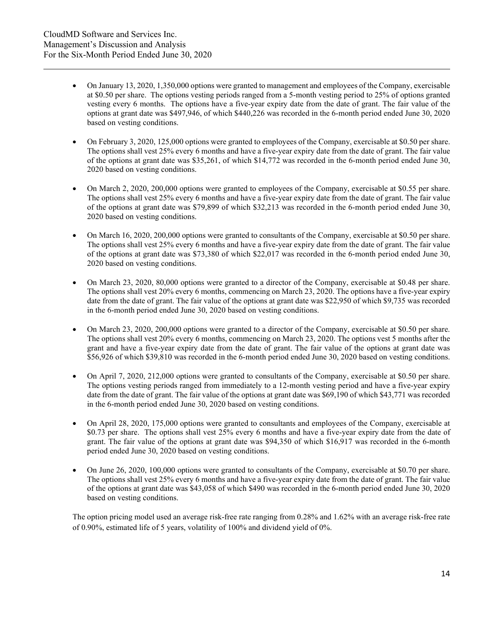- On January 13, 2020, 1,350,000 options were granted to management and employees of the Company, exercisable at \$0.50 per share. The options vesting periods ranged from a 5-month vesting period to 25% of options granted vesting every 6 months. The options have a five-year expiry date from the date of grant. The fair value of the options at grant date was \$497,946, of which \$440,226 was recorded in the 6-month period ended June 30, 2020 based on vesting conditions.
- On February 3, 2020, 125,000 options were granted to employees of the Company, exercisable at \$0.50 per share. The options shall vest 25% every 6 months and have a five-year expiry date from the date of grant. The fair value of the options at grant date was \$35,261, of which \$14,772 was recorded in the 6-month period ended June 30, 2020 based on vesting conditions.
- On March 2, 2020, 200,000 options were granted to employees of the Company, exercisable at \$0.55 per share. The options shall vest 25% every 6 months and have a five-year expiry date from the date of grant. The fair value of the options at grant date was \$79,899 of which \$32,213 was recorded in the 6-month period ended June 30, 2020 based on vesting conditions.
- On March 16, 2020, 200,000 options were granted to consultants of the Company, exercisable at \$0.50 per share. The options shall vest 25% every 6 months and have a five-year expiry date from the date of grant. The fair value of the options at grant date was \$73,380 of which \$22,017 was recorded in the 6-month period ended June 30, 2020 based on vesting conditions.
- On March 23, 2020, 80,000 options were granted to a director of the Company, exercisable at \$0.48 per share. The options shall vest 20% every 6 months, commencing on March 23, 2020. The options have a five-year expiry date from the date of grant. The fair value of the options at grant date was \$22,950 of which \$9,735 was recorded in the 6-month period ended June 30, 2020 based on vesting conditions.
- On March 23, 2020, 200,000 options were granted to a director of the Company, exercisable at \$0.50 per share. The options shall vest 20% every 6 months, commencing on March 23, 2020. The options vest 5 months after the grant and have a five-year expiry date from the date of grant. The fair value of the options at grant date was \$56,926 of which \$39,810 was recorded in the 6-month period ended June 30, 2020 based on vesting conditions.
- On April 7, 2020, 212,000 options were granted to consultants of the Company, exercisable at \$0.50 per share. The options vesting periods ranged from immediately to a 12-month vesting period and have a five-year expiry date from the date of grant. The fair value of the options at grant date was \$69,190 of which \$43,771 was recorded in the 6-month period ended June 30, 2020 based on vesting conditions.
- On April 28, 2020, 175,000 options were granted to consultants and employees of the Company, exercisable at \$0.73 per share. The options shall vest 25% every 6 months and have a five-year expiry date from the date of grant. The fair value of the options at grant date was \$94,350 of which \$16,917 was recorded in the 6-month period ended June 30, 2020 based on vesting conditions.
- On June 26, 2020, 100,000 options were granted to consultants of the Company, exercisable at \$0.70 per share. The options shall vest 25% every 6 months and have a five-year expiry date from the date of grant. The fair value of the options at grant date was \$43,058 of which \$490 was recorded in the 6-month period ended June 30, 2020 based on vesting conditions.

The option pricing model used an average risk-free rate ranging from 0.28% and 1.62% with an average risk-free rate of 0.90%, estimated life of 5 years, volatility of 100% and dividend yield of 0%.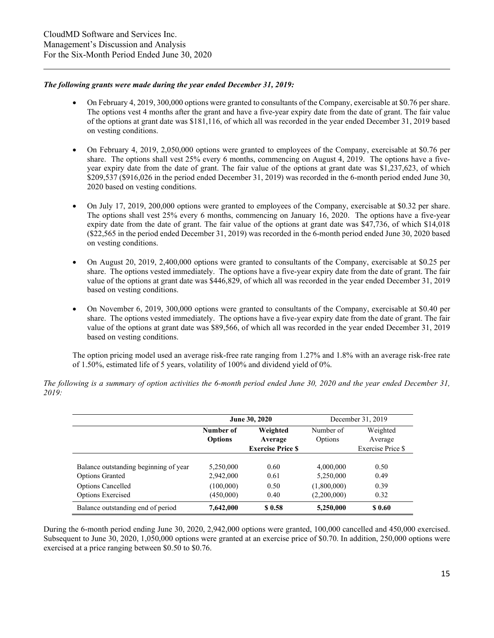#### *The following grants were made during the year ended December 31, 2019:*

- On February 4, 2019, 300,000 options were granted to consultants of the Company, exercisable at \$0.76 per share. The options vest 4 months after the grant and have a five-year expiry date from the date of grant. The fair value of the options at grant date was \$181,116, of which all was recorded in the year ended December 31, 2019 based on vesting conditions.
- On February 4, 2019, 2,050,000 options were granted to employees of the Company, exercisable at \$0.76 per share. The options shall vest 25% every 6 months, commencing on August 4, 2019. The options have a fiveyear expiry date from the date of grant. The fair value of the options at grant date was \$1,237,623, of which \$209,537 (\$916,026 in the period ended December 31, 2019) was recorded in the 6-month period ended June 30, 2020 based on vesting conditions.
- On July 17, 2019, 200,000 options were granted to employees of the Company, exercisable at \$0.32 per share. The options shall vest 25% every 6 months, commencing on January 16, 2020. The options have a five-year expiry date from the date of grant. The fair value of the options at grant date was \$47,736, of which \$14,018 (\$22,565 in the period ended December 31, 2019) was recorded in the 6-month period ended June 30, 2020 based on vesting conditions.
- On August 20, 2019, 2,400,000 options were granted to consultants of the Company, exercisable at \$0.25 per share. The options vested immediately. The options have a five-year expiry date from the date of grant. The fair value of the options at grant date was \$446,829, of which all was recorded in the year ended December 31, 2019 based on vesting conditions.
- On November 6, 2019, 300,000 options were granted to consultants of the Company, exercisable at \$0.40 per share. The options vested immediately. The options have a five-year expiry date from the date of grant. The fair value of the options at grant date was \$89,566, of which all was recorded in the year ended December 31, 2019 based on vesting conditions.

The option pricing model used an average risk-free rate ranging from 1.27% and 1.8% with an average risk-free rate of 1.50%, estimated life of 5 years, volatility of 100% and dividend yield of 0%.

|                                       | June 30, 2020               |                                                |                      | December 31, 2019                        |
|---------------------------------------|-----------------------------|------------------------------------------------|----------------------|------------------------------------------|
|                                       | Number of<br><b>Options</b> | Weighted<br>Average<br><b>Exercise Price S</b> | Number of<br>Options | Weighted<br>Average<br>Exercise Price \$ |
| Balance outstanding beginning of year | 5,250,000                   | 0.60                                           | 4,000,000            | 0.50                                     |
| <b>Options Granted</b>                | 2,942,000                   | 0.61                                           | 5,250,000            | 0.49                                     |
| <b>Options Cancelled</b>              | (100,000)                   | 0.50                                           | (1,800,000)          | 0.39                                     |
| <b>Options Exercised</b>              | (450,000)                   | 0.40                                           | (2,200,000)          | 0.32                                     |
| Balance outstanding end of period     | 7,642,000                   | \$0.58                                         | 5,250,000            | \$ 0.60                                  |

*The following is a summary of option activities the 6-month period ended June 30, 2020 and the year ended December 31, 2019:*

During the 6-month period ending June 30, 2020, 2,942,000 options were granted, 100,000 cancelled and 450,000 exercised. Subsequent to June 30, 2020, 1,050,000 options were granted at an exercise price of \$0.70. In addition, 250,000 options were exercised at a price ranging between \$0.50 to \$0.76.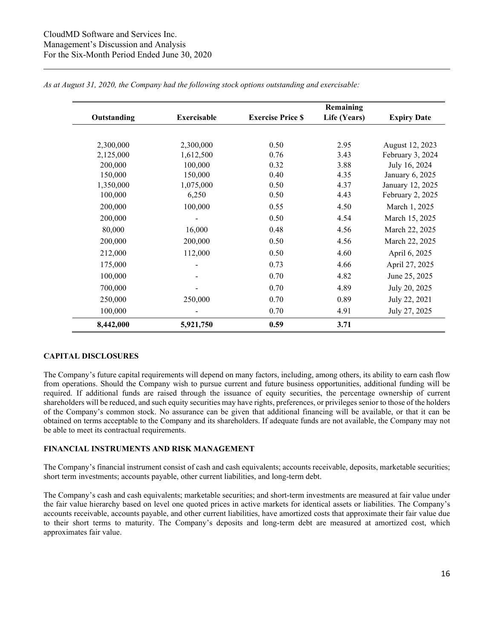|             |                    |                          | Remaining    |                    |
|-------------|--------------------|--------------------------|--------------|--------------------|
| Outstanding | <b>Exercisable</b> | <b>Exercise Price \$</b> | Life (Years) | <b>Expiry Date</b> |
|             |                    |                          |              |                    |
| 2,300,000   | 2,300,000          | 0.50                     | 2.95         | August 12, 2023    |
| 2,125,000   | 1,612,500          | 0.76                     | 3.43         | February 3, 2024   |
| 200,000     | 100,000            | 0.32                     | 3.88         | July 16, 2024      |
| 150,000     | 150,000            | 0.40                     | 4.35         | January 6, 2025    |
| 1,350,000   | 1,075,000          | 0.50                     | 4.37         | January 12, 2025   |
| 100,000     | 6,250              | 0.50                     | 4.43         | February 2, 2025   |
| 200,000     | 100,000            | 0.55                     | 4.50         | March 1, 2025      |
| 200,000     |                    | 0.50                     | 4.54         | March 15, 2025     |
| 80,000      | 16,000             | 0.48                     | 4.56         | March 22, 2025     |
| 200,000     | 200,000            | 0.50                     | 4.56         | March 22, 2025     |
| 212,000     | 112,000            | 0.50                     | 4.60         | April 6, 2025      |
| 175,000     |                    | 0.73                     | 4.66         | April 27, 2025     |
| 100,000     | -                  | 0.70                     | 4.82         | June 25, 2025      |
| 700,000     | -                  | 0.70                     | 4.89         | July 20, 2025      |
| 250,000     | 250,000            | 0.70                     | 0.89         | July 22, 2021      |
| 100,000     |                    | 0.70                     | 4.91         | July 27, 2025      |
| 8,442,000   | 5,921,750          | 0.59                     | 3.71         |                    |

*As at August 31, 2020, the Company had the following stock options outstanding and exercisable:*

## **CAPITAL DISCLOSURES**

The Company's future capital requirements will depend on many factors, including, among others, its ability to earn cash flow from operations. Should the Company wish to pursue current and future business opportunities, additional funding will be required. If additional funds are raised through the issuance of equity securities, the percentage ownership of current shareholders will be reduced, and such equity securities may have rights, preferences, or privileges senior to those of the holders of the Company's common stock. No assurance can be given that additional financing will be available, or that it can be obtained on terms acceptable to the Company and its shareholders. If adequate funds are not available, the Company may not be able to meet its contractual requirements.

## **FINANCIAL INSTRUMENTS AND RISK MANAGEMENT**

The Company's financial instrument consist of cash and cash equivalents; accounts receivable, deposits, marketable securities; short term investments; accounts payable, other current liabilities, and long-term debt.

The Company's cash and cash equivalents; marketable securities; and short-term investments are measured at fair value under the fair value hierarchy based on level one quoted prices in active markets for identical assets or liabilities. The Company's accounts receivable, accounts payable, and other current liabilities, have amortized costs that approximate their fair value due to their short terms to maturity. The Company's deposits and long-term debt are measured at amortized cost, which approximates fair value.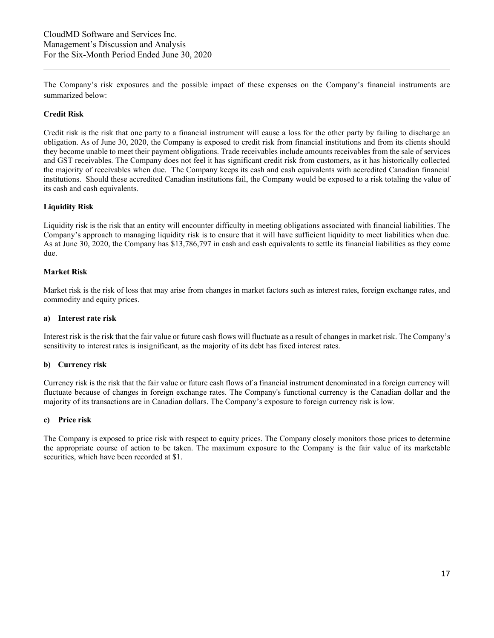The Company's risk exposures and the possible impact of these expenses on the Company's financial instruments are summarized below:

## **Credit Risk**

Credit risk is the risk that one party to a financial instrument will cause a loss for the other party by failing to discharge an obligation. As of June 30, 2020, the Company is exposed to credit risk from financial institutions and from its clients should they become unable to meet their payment obligations. Trade receivables include amounts receivables from the sale of services and GST receivables. The Company does not feel it has significant credit risk from customers, as it has historically collected the majority of receivables when due. The Company keeps its cash and cash equivalents with accredited Canadian financial institutions. Should these accredited Canadian institutions fail, the Company would be exposed to a risk totaling the value of its cash and cash equivalents.

## **Liquidity Risk**

Liquidity risk is the risk that an entity will encounter difficulty in meeting obligations associated with financial liabilities. The Company's approach to managing liquidity risk is to ensure that it will have sufficient liquidity to meet liabilities when due. As at June 30, 2020, the Company has \$13,786,797 in cash and cash equivalents to settle its financial liabilities as they come due.

## **Market Risk**

Market risk is the risk of loss that may arise from changes in market factors such as interest rates, foreign exchange rates, and commodity and equity prices.

### **a) Interest rate risk**

Interest risk is the risk that the fair value or future cash flows will fluctuate as a result of changes in market risk. The Company's sensitivity to interest rates is insignificant, as the majority of its debt has fixed interest rates.

## **b) Currency risk**

Currency risk is the risk that the fair value or future cash flows of a financial instrument denominated in a foreign currency will fluctuate because of changes in foreign exchange rates. The Company's functional currency is the Canadian dollar and the majority of its transactions are in Canadian dollars. The Company's exposure to foreign currency risk is low.

#### **c) Price risk**

The Company is exposed to price risk with respect to equity prices. The Company closely monitors those prices to determine the appropriate course of action to be taken. The maximum exposure to the Company is the fair value of its marketable securities, which have been recorded at \$1.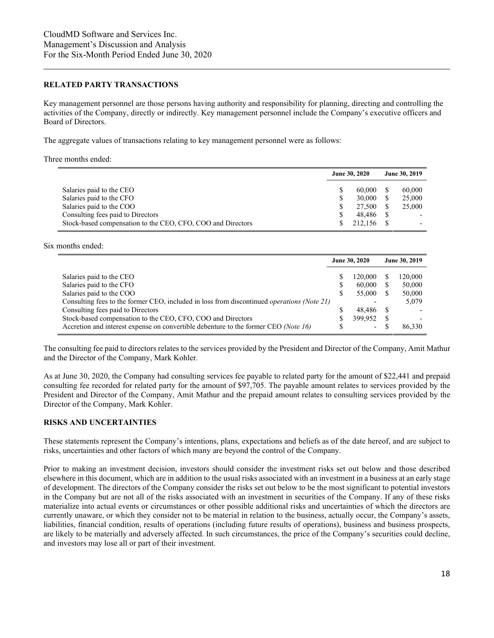#### **RELATED PARTY TRANSACTIONS**

Key management personnel are those persons having authority and responsibility for planning, directing and controlling the activities of the Company, directly or indirectly. Key management personnel include the Company's executive officers and Board of Directors.

The aggregate values of transactions relating to key management personnel were as follows:

#### Three months ended:

|                                                             | June 30, 2020 |         | June 30, 2019 |        |
|-------------------------------------------------------------|---------------|---------|---------------|--------|
| Salaries paid to the CEO                                    |               | 60,000  |               | 60,000 |
| Salaries paid to the CFO                                    | S             | 30,000  |               | 25,000 |
| Salaries paid to the COO                                    | S             | 27,500  |               | 25,000 |
| Consulting fees paid to Directors                           |               | 48.486  |               |        |
| Stock-based compensation to the CEO, CFO, COO and Directors |               | 212,156 |               |        |

Six months ended:

|                                                                                                   | June 30, 2020 |                          | June 30, 2019 |         |
|---------------------------------------------------------------------------------------------------|---------------|--------------------------|---------------|---------|
| Salaries paid to the CEO                                                                          |               | 120,000                  |               | 120,000 |
| Salaries paid to the CFO                                                                          |               | 60,000                   |               | 50,000  |
| Salaries paid to the COO                                                                          |               | 55,000                   |               | 50,000  |
| Consulting fees to the former CEO, included in loss from discontinued <i>operations (Note 21)</i> |               |                          |               | 5,079   |
| Consulting fees paid to Directors                                                                 |               | 48.486                   |               |         |
| Stock-based compensation to the CEO, CFO, COO and Directors                                       |               | 399.952                  |               |         |
| Accretion and interest expense on convertible debenture to the former CEO (Note 16)               |               | $\overline{\phantom{0}}$ |               | 86,330  |

The consulting fee paid to directors relates to the services provided by the President and Director of the Company, Amit Mathur and the Director of the Company, Mark Kohler.

As at June 30, 2020, the Company had consulting services fee payable to related party for the amount of \$22,441 and prepaid consulting fee recorded for related party for the amount of \$97,705. The payable amount relates to services provided by the President and Director of the Company, Amit Mathur and the prepaid amount relates to consulting services provided by the Director of the Company, Mark Kohler.

## **RISKS AND UNCERTAINTIES**

These statements represent the Company's intentions, plans, expectations and beliefs as of the date hereof, and are subject to risks, uncertainties and other factors of which many are beyond the control of the Company.

Prior to making an investment decision, investors should consider the investment risks set out below and those described elsewhere in this document, which are in addition to the usual risks associated with an investment in a business at an early stage of development. The directors of the Company consider the risks set out below to be the most significant to potential investors in the Company but are not all of the risks associated with an investment in securities of the Company. If any of these risks materialize into actual events or circumstances or other possible additional risks and uncertainties of which the directors are currently unaware, or which they consider not to be material in relation to the business, actually occur, the Company's assets, liabilities, financial condition, results of operations (including future results of operations), business and business prospects, are likely to be materially and adversely affected. In such circumstances, the price of the Company's securities could decline, and investors may lose all or part of their investment.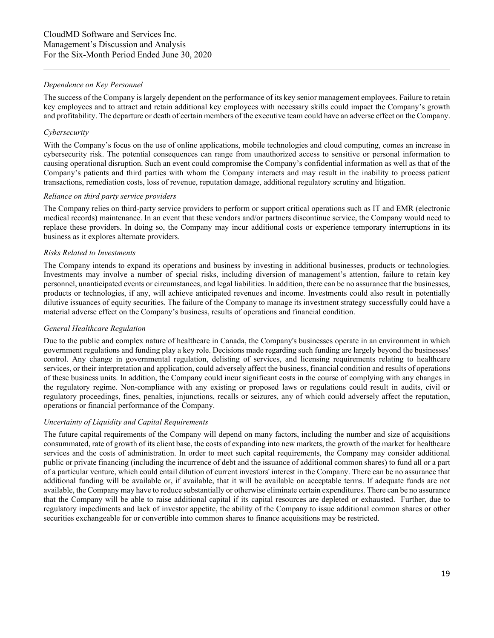## *Dependence on Key Personnel*

The success of the Company is largely dependent on the performance of its key senior management employees. Failure to retain key employees and to attract and retain additional key employees with necessary skills could impact the Company's growth and profitability. The departure or death of certain members of the executive team could have an adverse effect on the Company.

## *Cybersecurity*

With the Company's focus on the use of online applications, mobile technologies and cloud computing, comes an increase in cybersecurity risk. The potential consequences can range from unauthorized access to sensitive or personal information to causing operational disruption. Such an event could compromise the Company's confidential information as well as that of the Company's patients and third parties with whom the Company interacts and may result in the inability to process patient transactions, remediation costs, loss of revenue, reputation damage, additional regulatory scrutiny and litigation.

## *Reliance on third party service providers*

The Company relies on third-party service providers to perform or support critical operations such as IT and EMR (electronic medical records) maintenance. In an event that these vendors and/or partners discontinue service, the Company would need to replace these providers. In doing so, the Company may incur additional costs or experience temporary interruptions in its business as it explores alternate providers.

## *Risks Related to Investments*

The Company intends to expand its operations and business by investing in additional businesses, products or technologies. Investments may involve a number of special risks, including diversion of management's attention, failure to retain key personnel, unanticipated events or circumstances, and legal liabilities. In addition, there can be no assurance that the businesses, products or technologies, if any, will achieve anticipated revenues and income. Investments could also result in potentially dilutive issuances of equity securities. The failure of the Company to manage its investment strategy successfully could have a material adverse effect on the Company's business, results of operations and financial condition.

# *General Healthcare Regulation*

Due to the public and complex nature of healthcare in Canada, the Company's businesses operate in an environment in which government regulations and funding play a key role. Decisions made regarding such funding are largely beyond the businesses' control. Any change in governmental regulation, delisting of services, and licensing requirements relating to healthcare services, or their interpretation and application, could adversely affect the business, financial condition and results of operations of these business units. In addition, the Company could incur significant costs in the course of complying with any changes in the regulatory regime. Non-compliance with any existing or proposed laws or regulations could result in audits, civil or regulatory proceedings, fines, penalties, injunctions, recalls or seizures, any of which could adversely affect the reputation, operations or financial performance of the Company.

## *Uncertainty of Liquidity and Capital Requirements*

The future capital requirements of the Company will depend on many factors, including the number and size of acquisitions consummated, rate of growth of its client base, the costs of expanding into new markets, the growth of the market for healthcare services and the costs of administration. In order to meet such capital requirements, the Company may consider additional public or private financing (including the incurrence of debt and the issuance of additional common shares) to fund all or a part of a particular venture, which could entail dilution of current investors' interest in the Company. There can be no assurance that additional funding will be available or, if available, that it will be available on acceptable terms. If adequate funds are not available, the Company may have to reduce substantially or otherwise eliminate certain expenditures. There can be no assurance that the Company will be able to raise additional capital if its capital resources are depleted or exhausted. Further, due to regulatory impediments and lack of investor appetite, the ability of the Company to issue additional common shares or other securities exchangeable for or convertible into common shares to finance acquisitions may be restricted.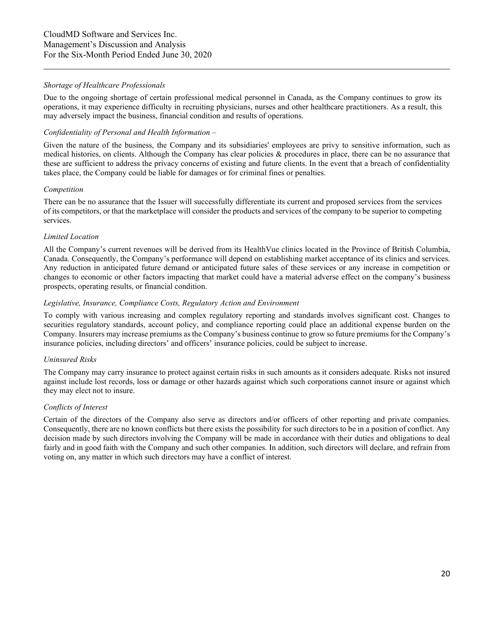## *Shortage of Healthcare Professionals*

Due to the ongoing shortage of certain professional medical personnel in Canada, as the Company continues to grow its operations, it may experience difficulty in recruiting physicians, nurses and other healthcare practitioners. As a result, this may adversely impact the business, financial condition and results of operations.

## *Confidentiality of Personal and Health Information –*

Given the nature of the business, the Company and its subsidiaries' employees are privy to sensitive information, such as medical histories, on clients. Although the Company has clear policies & procedures in place, there can be no assurance that these are sufficient to address the privacy concerns of existing and future clients. In the event that a breach of confidentiality takes place, the Company could be liable for damages or for criminal fines or penalties.

#### *Competition*

There can be no assurance that the Issuer will successfully differentiate its current and proposed services from the services of its competitors, or that the marketplace will consider the products and services of the company to be superior to competing services.

#### *Limited Location*

All the Company's current revenues will be derived from its HealthVue clinics located in the Province of British Columbia, Canada. Consequently, the Company's performance will depend on establishing market acceptance of its clinics and services. Any reduction in anticipated future demand or anticipated future sales of these services or any increase in competition or changes to economic or other factors impacting that market could have a material adverse effect on the company's business prospects, operating results, or financial condition.

# *Legislative, Insurance, Compliance Costs, Regulatory Action and Environment*

To comply with various increasing and complex regulatory reporting and standards involves significant cost. Changes to securities regulatory standards, account policy, and compliance reporting could place an additional expense burden on the Company. Insurers may increase premiums as the Company's business continue to grow so future premiums for the Company's insurance policies, including directors' and officers' insurance policies, could be subject to increase.

### *Uninsured Risks*

The Company may carry insurance to protect against certain risks in such amounts as it considers adequate. Risks not insured against include lost records, loss or damage or other hazards against which such corporations cannot insure or against which they may elect not to insure.

### *Conflicts of Interest*

Certain of the directors of the Company also serve as directors and/or officers of other reporting and private companies. Consequently, there are no known conflicts but there exists the possibility for such directors to be in a position of conflict. Any decision made by such directors involving the Company will be made in accordance with their duties and obligations to deal fairly and in good faith with the Company and such other companies. In addition, such directors will declare, and refrain from voting on, any matter in which such directors may have a conflict of interest.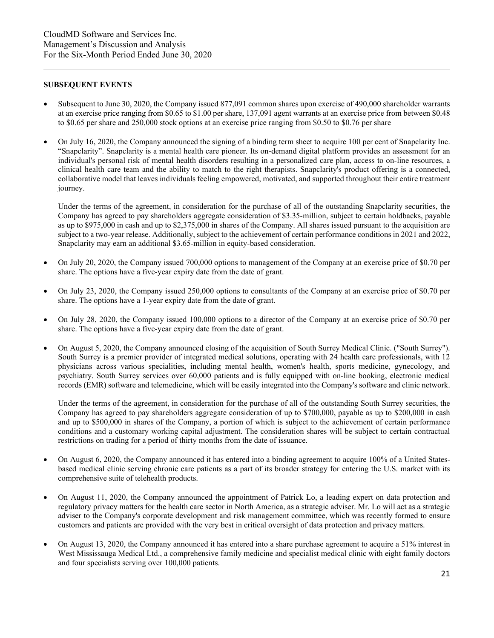#### **SUBSEQUENT EVENTS**

- Subsequent to June 30, 2020, the Company issued 877,091 common shares upon exercise of 490,000 shareholder warrants at an exercise price ranging from \$0.65 to \$1.00 per share, 137,091 agent warrants at an exercise price from between \$0.48 to \$0.65 per share and 250,000 stock options at an exercise price ranging from \$0.50 to \$0.76 per share
- On July 16, 2020, the Company announced the signing of a binding term sheet to acquire 100 per cent of Snapclarity Inc. "Snapclarity". Snapclarity is a mental health care pioneer. Its on-demand digital platform provides an assessment for an individual's personal risk of mental health disorders resulting in a personalized care plan, access to on-line resources, a clinical health care team and the ability to match to the right therapists. Snapclarity's product offering is a connected, collaborative model that leaves individuals feeling empowered, motivated, and supported throughout their entire treatment journey.

Under the terms of the agreement, in consideration for the purchase of all of the outstanding Snapclarity securities, the Company has agreed to pay shareholders aggregate consideration of \$3.35-million, subject to certain holdbacks, payable as up to \$975,000 in cash and up to \$2,375,000 in shares of the Company. All shares issued pursuant to the acquisition are subject to a two-year release. Additionally, subject to the achievement of certain performance conditions in 2021 and 2022, Snapclarity may earn an additional \$3.65-million in equity-based consideration.

- On July 20, 2020, the Company issued 700,000 options to management of the Company at an exercise price of \$0.70 per share. The options have a five-year expiry date from the date of grant.
- On July 23, 2020, the Company issued 250,000 options to consultants of the Company at an exercise price of \$0.70 per share. The options have a 1-year expiry date from the date of grant.
- On July 28, 2020, the Company issued 100,000 options to a director of the Company at an exercise price of \$0.70 per share. The options have a five-year expiry date from the date of grant.
- On August 5, 2020, the Company announced closing of the acquisition of South Surrey Medical Clinic. ("South Surrey"). South Surrey is a premier provider of integrated medical solutions, operating with 24 health care professionals, with 12 physicians across various specialities, including mental health, women's health, sports medicine, gynecology, and psychiatry. South Surrey services over 60,000 patients and is fully equipped with on-line booking, electronic medical records (EMR) software and telemedicine, which will be easily integrated into the Company's software and clinic network.

Under the terms of the agreement, in consideration for the purchase of all of the outstanding South Surrey securities, the Company has agreed to pay shareholders aggregate consideration of up to \$700,000, payable as up to \$200,000 in cash and up to \$500,000 in shares of the Company, a portion of which is subject to the achievement of certain performance conditions and a customary working capital adjustment. The consideration shares will be subject to certain contractual restrictions on trading for a period of thirty months from the date of issuance.

- On August 6, 2020, the Company announced it has entered into a binding agreement to acquire 100% of a United Statesbased medical clinic serving chronic care patients as a part of its broader strategy for entering the U.S. market with its comprehensive suite of telehealth products.
- On August 11, 2020, the Company announced the appointment of Patrick Lo, a leading expert on data protection and regulatory privacy matters for the health care sector in North America, as a strategic adviser. Mr. Lo will act as a strategic adviser to the Company's corporate development and risk management committee, which was recently formed to ensure customers and patients are provided with the very best in critical oversight of data protection and privacy matters.
- On August 13, 2020, the Company announced it has entered into a share purchase agreement to acquire a 51% interest in West Mississauga Medical Ltd., a comprehensive family medicine and specialist medical clinic with eight family doctors and four specialists serving over 100,000 patients.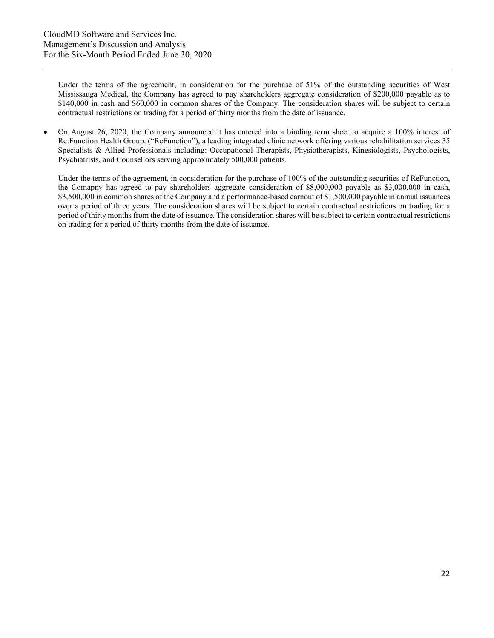Under the terms of the agreement, in consideration for the purchase of 51% of the outstanding securities of West Mississauga Medical, the Company has agreed to pay shareholders aggregate consideration of \$200,000 payable as to \$140,000 in cash and \$60,000 in common shares of the Company. The consideration shares will be subject to certain contractual restrictions on trading for a period of thirty months from the date of issuance.

• On August 26, 2020, the Company announced it has entered into a binding term sheet to acquire a 100% interest of Re:Function Health Group. ("ReFunction"), a leading integrated clinic network offering various rehabilitation services 35 Specialists & Allied Professionals including: Occupational Therapists, Physiotherapists, Kinesiologists, Psychologists, Psychiatrists, and Counsellors serving approximately 500,000 patients.

Under the terms of the agreement, in consideration for the purchase of 100% of the outstanding securities of ReFunction, the Comapny has agreed to pay shareholders aggregate consideration of \$8,000,000 payable as \$3,000,000 in cash, \$3,500,000 in common shares of the Company and a performance-based earnout of \$1,500,000 payable in annual issuances over a period of three years. The consideration shares will be subject to certain contractual restrictions on trading for a period of thirty months from the date of issuance. The consideration shares will be subject to certain contractual restrictions on trading for a period of thirty months from the date of issuance.